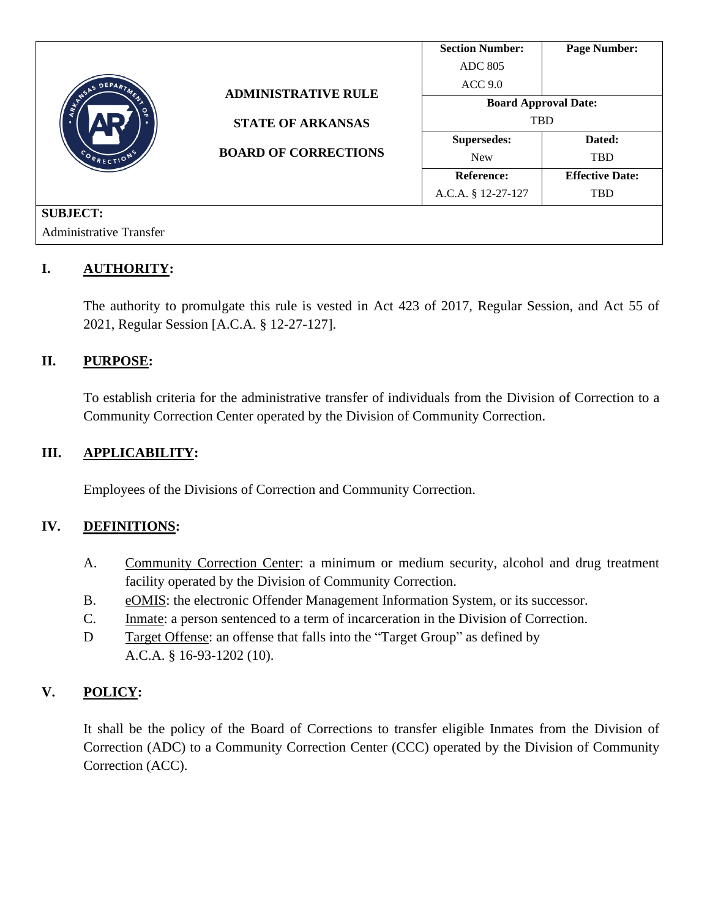|                                          |                                                                                       | <b>Section Number:</b>      | <b>Page Number:</b>    |
|------------------------------------------|---------------------------------------------------------------------------------------|-----------------------------|------------------------|
| DEPARTMENT<br>REAGAS<br>৹<br>CORRECTIONS | <b>ADMINISTRATIVE RULE</b><br><b>STATE OF ARKANSAS</b><br><b>BOARD OF CORRECTIONS</b> | <b>ADC 805</b>              |                        |
|                                          |                                                                                       | ACC <sub>9.0</sub>          |                        |
|                                          |                                                                                       | <b>Board Approval Date:</b> |                        |
|                                          |                                                                                       | <b>TBD</b>                  |                        |
|                                          |                                                                                       | <b>Supersedes:</b>          | Dated:                 |
|                                          |                                                                                       | <b>New</b>                  | <b>TBD</b>             |
|                                          |                                                                                       | <b>Reference:</b>           | <b>Effective Date:</b> |
|                                          |                                                                                       | A.C.A. § 12-27-127          | <b>TBD</b>             |
| <b>SUBJECT:</b>                          |                                                                                       |                             |                        |
| <b>Administrative Transfer</b>           |                                                                                       |                             |                        |

# **I. AUTHORITY:**

The authority to promulgate this rule is vested in Act 423 of 2017, Regular Session, and Act 55 of 2021, Regular Session [A.C.A. § 12-27-127].

### **II. PURPOSE:**

To establish criteria for the administrative transfer of individuals from the Division of Correction to a Community Correction Center operated by the Division of Community Correction.

### **III. APPLICABILITY:**

Employees of the Divisions of Correction and Community Correction.

### **IV. DEFINITIONS:**

- A. Community Correction Center: a minimum or medium security, alcohol and drug treatment facility operated by the Division of Community Correction.
- B. eOMIS: the electronic Offender Management Information System, or its successor.
- C. Inmate: a person sentenced to a term of incarceration in the Division of Correction.
- D Target Offense: an offense that falls into the "Target Group" as defined by A.C.A. § 16-93-1202 (10).

## **V. POLICY:**

It shall be the policy of the Board of Corrections to transfer eligible Inmates from the Division of Correction (ADC) to a Community Correction Center (CCC) operated by the Division of Community Correction (ACC).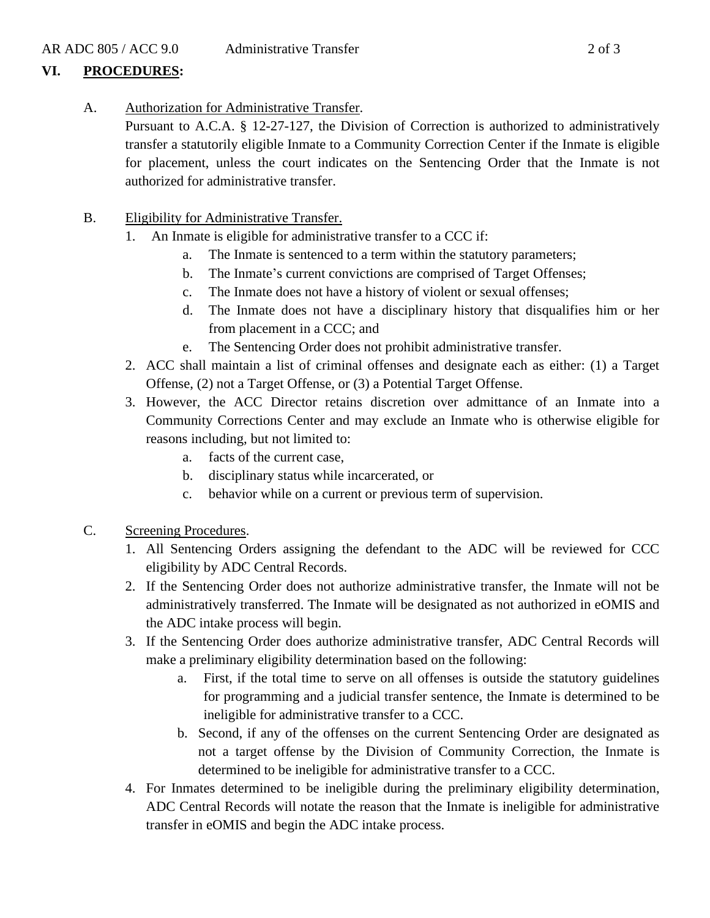# **VI. PROCEDURES:**

A. Authorization for Administrative Transfer.

Pursuant to A.C.A. § 12-27-127, the Division of Correction is authorized to administratively transfer a statutorily eligible Inmate to a Community Correction Center if the Inmate is eligible for placement, unless the court indicates on the Sentencing Order that the Inmate is not authorized for administrative transfer.

- B. Eligibility for Administrative Transfer.
	- 1. An Inmate is eligible for administrative transfer to a CCC if:
		- a. The Inmate is sentenced to a term within the statutory parameters;
		- b. The Inmate's current convictions are comprised of Target Offenses;
		- c. The Inmate does not have a history of violent or sexual offenses;
		- d. The Inmate does not have a disciplinary history that disqualifies him or her from placement in a CCC; and
		- e. The Sentencing Order does not prohibit administrative transfer.
	- 2. ACC shall maintain a list of criminal offenses and designate each as either: (1) a Target Offense, (2) not a Target Offense, or (3) a Potential Target Offense.
	- 3. However, the ACC Director retains discretion over admittance of an Inmate into a Community Corrections Center and may exclude an Inmate who is otherwise eligible for reasons including, but not limited to:
		- a. facts of the current case,
		- b. disciplinary status while incarcerated, or
		- c. behavior while on a current or previous term of supervision.
- C. Screening Procedures.
	- 1. All Sentencing Orders assigning the defendant to the ADC will be reviewed for CCC eligibility by ADC Central Records.
	- 2. If the Sentencing Order does not authorize administrative transfer, the Inmate will not be administratively transferred. The Inmate will be designated as not authorized in eOMIS and the ADC intake process will begin.
	- 3. If the Sentencing Order does authorize administrative transfer, ADC Central Records will make a preliminary eligibility determination based on the following:
		- a. First, if the total time to serve on all offenses is outside the statutory guidelines for programming and a judicial transfer sentence, the Inmate is determined to be ineligible for administrative transfer to a CCC.
		- b. Second, if any of the offenses on the current Sentencing Order are designated as not a target offense by the Division of Community Correction, the Inmate is determined to be ineligible for administrative transfer to a CCC.
	- 4. For Inmates determined to be ineligible during the preliminary eligibility determination, ADC Central Records will notate the reason that the Inmate is ineligible for administrative transfer in eOMIS and begin the ADC intake process.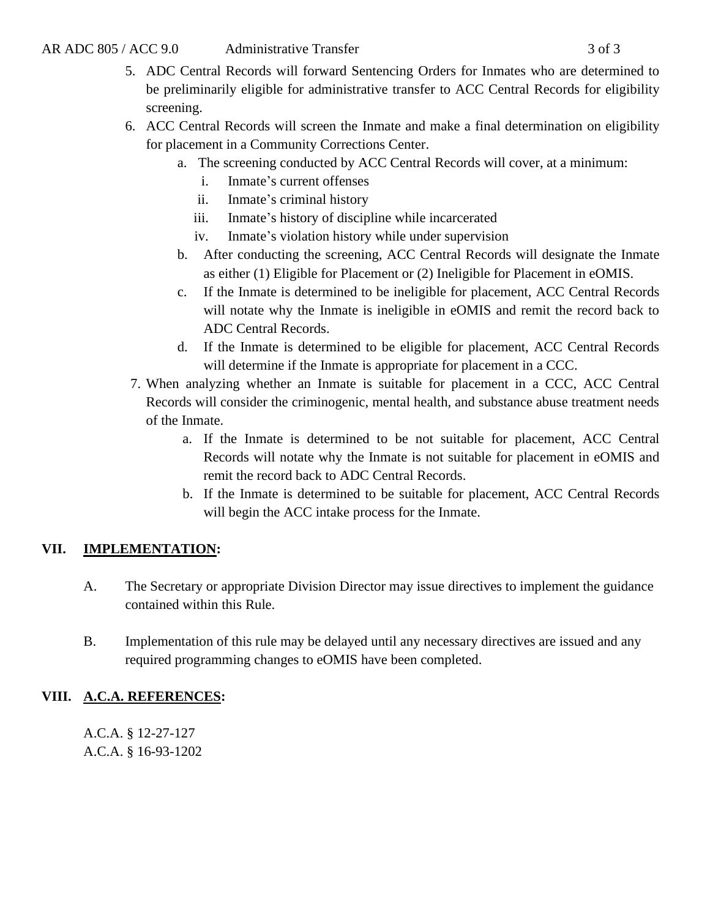- 5. ADC Central Records will forward Sentencing Orders for Inmates who are determined to be preliminarily eligible for administrative transfer to ACC Central Records for eligibility screening.
- 6. ACC Central Records will screen the Inmate and make a final determination on eligibility for placement in a Community Corrections Center.
	- a. The screening conducted by ACC Central Records will cover, at a minimum:
		- i. Inmate's current offenses
		- ii. Inmate's criminal history
		- iii. Inmate's history of discipline while incarcerated
		- iv. Inmate's violation history while under supervision
	- b. After conducting the screening, ACC Central Records will designate the Inmate as either (1) Eligible for Placement or (2) Ineligible for Placement in eOMIS.
	- c. If the Inmate is determined to be ineligible for placement, ACC Central Records will notate why the Inmate is ineligible in eOMIS and remit the record back to ADC Central Records.
	- d. If the Inmate is determined to be eligible for placement, ACC Central Records will determine if the Inmate is appropriate for placement in a CCC.
- 7. When analyzing whether an Inmate is suitable for placement in a CCC, ACC Central Records will consider the criminogenic, mental health, and substance abuse treatment needs of the Inmate.
	- a. If the Inmate is determined to be not suitable for placement, ACC Central Records will notate why the Inmate is not suitable for placement in eOMIS and remit the record back to ADC Central Records.
	- b. If the Inmate is determined to be suitable for placement, ACC Central Records will begin the ACC intake process for the Inmate.

# **VII. IMPLEMENTATION:**

- A. The Secretary or appropriate Division Director may issue directives to implement the guidance contained within this Rule.
- B. Implementation of this rule may be delayed until any necessary directives are issued and any required programming changes to eOMIS have been completed.

# **VIII. A.C.A. REFERENCES:**

A.C.A. § 12-27-127 A.C.A. § 16-93-1202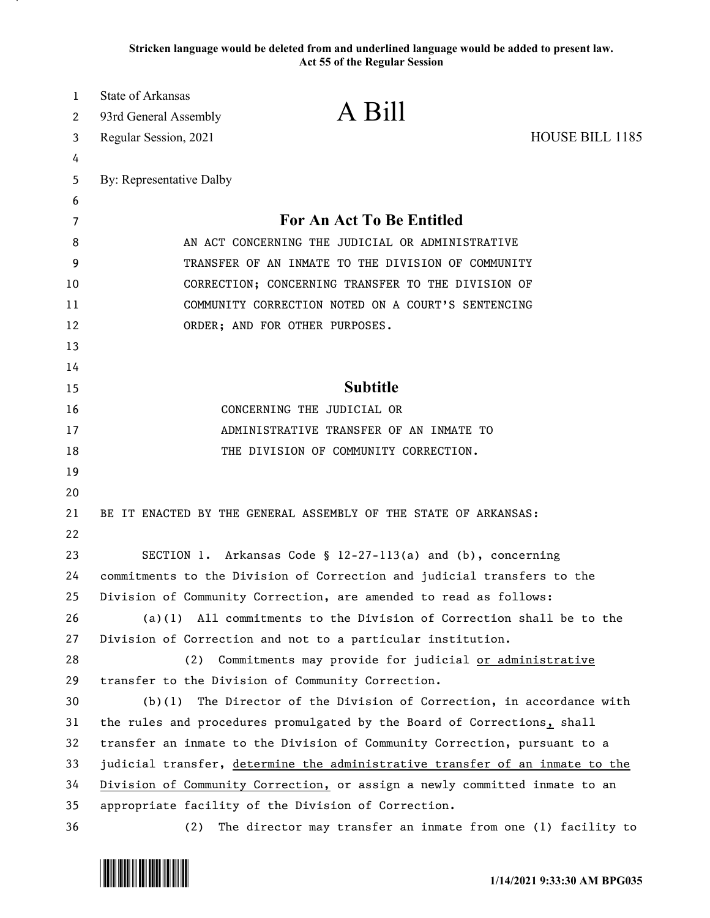**Stricken language would be deleted from and underlined language would be added to present law. Act 55 of the Regular Session**

| 1  | State of Arkansas                                                            |                                                                        |                 |  |  |
|----|------------------------------------------------------------------------------|------------------------------------------------------------------------|-----------------|--|--|
| 2  | 93rd General Assembly                                                        | A Bill                                                                 |                 |  |  |
| 3  | Regular Session, 2021                                                        |                                                                        | HOUSE BILL 1185 |  |  |
| 4  |                                                                              |                                                                        |                 |  |  |
| 5  | By: Representative Dalby                                                     |                                                                        |                 |  |  |
| 6  |                                                                              |                                                                        |                 |  |  |
| 7  | For An Act To Be Entitled                                                    |                                                                        |                 |  |  |
| 8  | AN ACT CONCERNING THE JUDICIAL OR ADMINISTRATIVE                             |                                                                        |                 |  |  |
| 9  | TRANSFER OF AN INMATE TO THE DIVISION OF COMMUNITY                           |                                                                        |                 |  |  |
| 10 | CORRECTION; CONCERNING TRANSFER TO THE DIVISION OF                           |                                                                        |                 |  |  |
| 11 | COMMUNITY CORRECTION NOTED ON A COURT'S SENTENCING                           |                                                                        |                 |  |  |
| 12 | ORDER; AND FOR OTHER PURPOSES.                                               |                                                                        |                 |  |  |
| 13 |                                                                              |                                                                        |                 |  |  |
| 14 |                                                                              |                                                                        |                 |  |  |
| 15 |                                                                              | <b>Subtitle</b>                                                        |                 |  |  |
| 16 | CONCERNING THE JUDICIAL OR                                                   |                                                                        |                 |  |  |
| 17 | ADMINISTRATIVE TRANSFER OF AN INMATE TO                                      |                                                                        |                 |  |  |
| 18 | THE DIVISION OF COMMUNITY CORRECTION.                                        |                                                                        |                 |  |  |
| 19 |                                                                              |                                                                        |                 |  |  |
| 20 |                                                                              |                                                                        |                 |  |  |
| 21 | BE IT ENACTED BY THE GENERAL ASSEMBLY OF THE STATE OF ARKANSAS:              |                                                                        |                 |  |  |
| 22 |                                                                              |                                                                        |                 |  |  |
| 23 |                                                                              | SECTION 1. Arkansas Code $\S$ 12-27-113(a) and (b), concerning         |                 |  |  |
| 24 | commitments to the Division of Correction and judicial transfers to the      |                                                                        |                 |  |  |
| 25 |                                                                              | Division of Community Correction, are amended to read as follows:      |                 |  |  |
| 26 |                                                                              | $(a)(1)$ All commitments to the Division of Correction shall be to the |                 |  |  |
| 27 |                                                                              | Division of Correction and not to a particular institution.            |                 |  |  |
| 28 | (2)                                                                          | Commitments may provide for judicial or administrative                 |                 |  |  |
| 29 |                                                                              | transfer to the Division of Community Correction.                      |                 |  |  |
| 30 | The Director of the Division of Correction, in accordance with<br>(b)(1)     |                                                                        |                 |  |  |
| 31 | the rules and procedures promulgated by the Board of Corrections, shall      |                                                                        |                 |  |  |
| 32 | transfer an inmate to the Division of Community Correction, pursuant to a    |                                                                        |                 |  |  |
| 33 | judicial transfer, determine the administrative transfer of an inmate to the |                                                                        |                 |  |  |
| 34 | Division of Community Correction, or assign a newly committed inmate to an   |                                                                        |                 |  |  |
| 35 |                                                                              | appropriate facility of the Division of Correction.                    |                 |  |  |
| 36 | (2)                                                                          | The director may transfer an inmate from one (1) facility to           |                 |  |  |

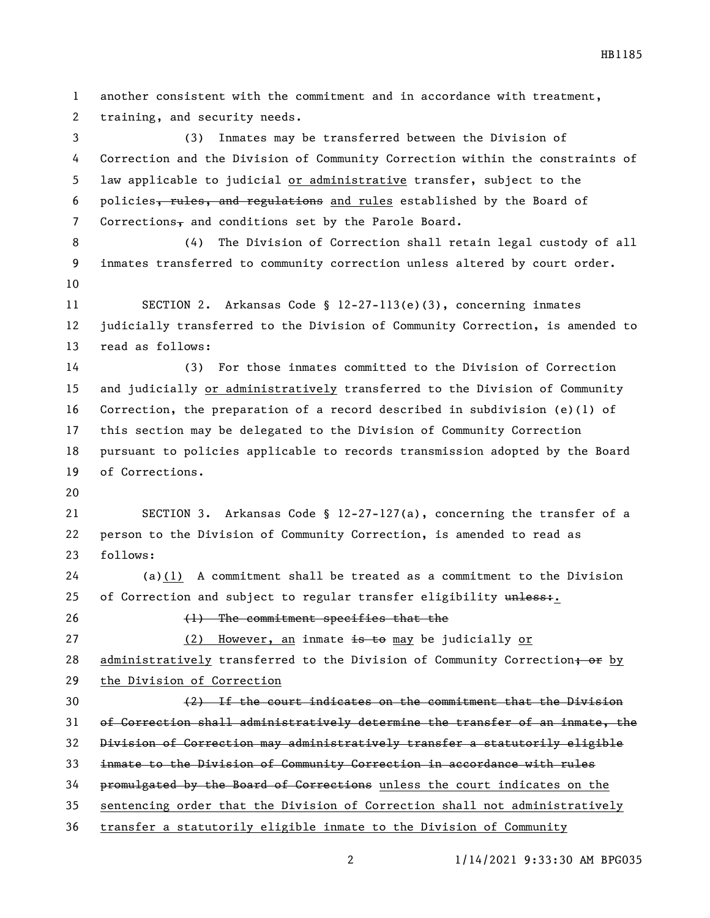another consistent with the commitment and in accordance with treatment, training, and security needs. (3) Inmates may be transferred between the Division of Correction and the Division of Community Correction within the constraints of law applicable to judicial or administrative transfer, subject to the 6 policies, rules, and regulations and rules established by the Board of 7 Corrections $\frac{1}{2}$  and conditions set by the Parole Board. (4) The Division of Correction shall retain legal custody of all inmates transferred to community correction unless altered by court order. SECTION 2. Arkansas Code § 12-27-113(e)(3), concerning inmates judicially transferred to the Division of Community Correction, is amended to read as follows: (3) For those inmates committed to the Division of Correction and judicially or administratively transferred to the Division of Community Correction, the preparation of a record described in subdivision (e)(1) of this section may be delegated to the Division of Community Correction pursuant to policies applicable to records transmission adopted by the Board of Corrections. SECTION 3. Arkansas Code § 12-27-127(a), concerning the transfer of a person to the Division of Community Correction, is amended to read as follows: (a)(1) A commitment shall be treated as a commitment to the Division 25 of Correction and subject to regular transfer eligibility unless: (1) The commitment specifies that the 27 (2) However, an inmate is to may be judicially or 28 administratively transferred to the Division of Community Correction; or by the Division of Correction (2) If the court indicates on the commitment that the Division of Correction shall administratively determine the transfer of an inmate, the Division of Correction may administratively transfer a statutorily eligible inmate to the Division of Community Correction in accordance with rules promulgated by the Board of Corrections unless the court indicates on the sentencing order that the Division of Correction shall not administratively transfer a statutorily eligible inmate to the Division of Community

1/14/2021 9:33:30 AM BPG035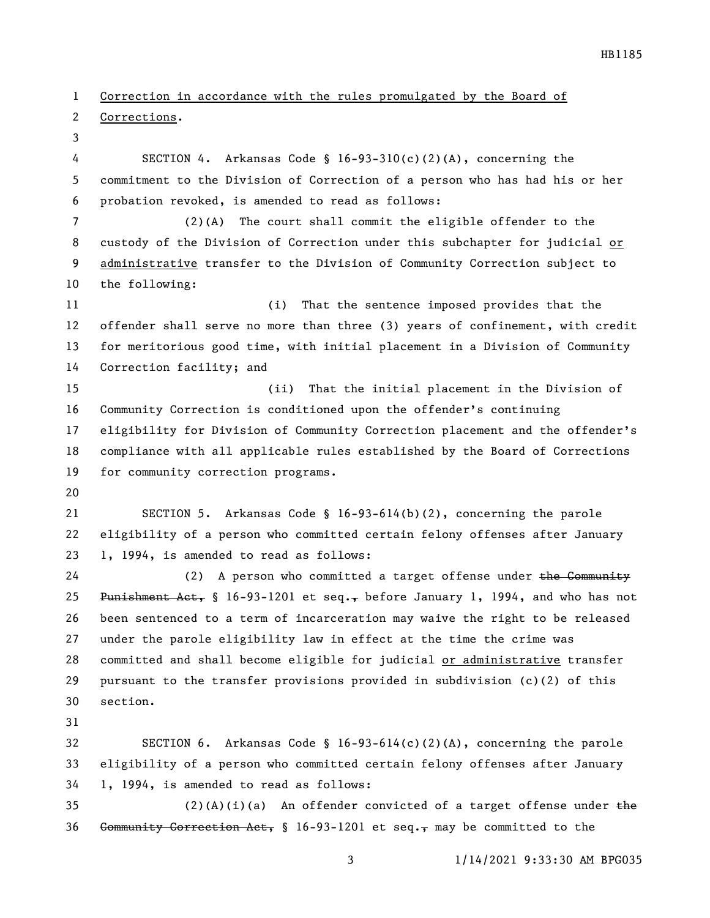Correction in accordance with the rules promulgated by the Board of

Corrections.

 SECTION 4. Arkansas Code § 16-93-310(c)(2)(A), concerning the commitment to the Division of Correction of a person who has had his or her probation revoked, is amended to read as follows:

 (2)(A) The court shall commit the eligible offender to the custody of the Division of Correction under this subchapter for judicial or administrative transfer to the Division of Community Correction subject to the following:

 (i) That the sentence imposed provides that the offender shall serve no more than three (3) years of confinement, with credit for meritorious good time, with initial placement in a Division of Community Correction facility; and

 (ii) That the initial placement in the Division of Community Correction is conditioned upon the offender's continuing eligibility for Division of Community Correction placement and the offender's compliance with all applicable rules established by the Board of Corrections for community correction programs.

 SECTION 5. Arkansas Code § 16-93-614(b)(2), concerning the parole eligibility of a person who committed certain felony offenses after January 1, 1994, is amended to read as follows:

24 (2) A person who committed a target offense under the Community 25 Punishment Act, § 16-93-1201 et seq., before January 1, 1994, and who has not been sentenced to a term of incarceration may waive the right to be released under the parole eligibility law in effect at the time the crime was committed and shall become eligible for judicial or administrative transfer pursuant to the transfer provisions provided in subdivision (c)(2) of this section.

 SECTION 6. Arkansas Code § 16-93-614(c)(2)(A), concerning the parole eligibility of a person who committed certain felony offenses after January 1, 1994, is amended to read as follows:

35 (2)(A)(i)(a) An offender convicted of a target offense under the 36 <del>Community Correction Act,</del> § 16-93-1201 et seq., may be committed to the